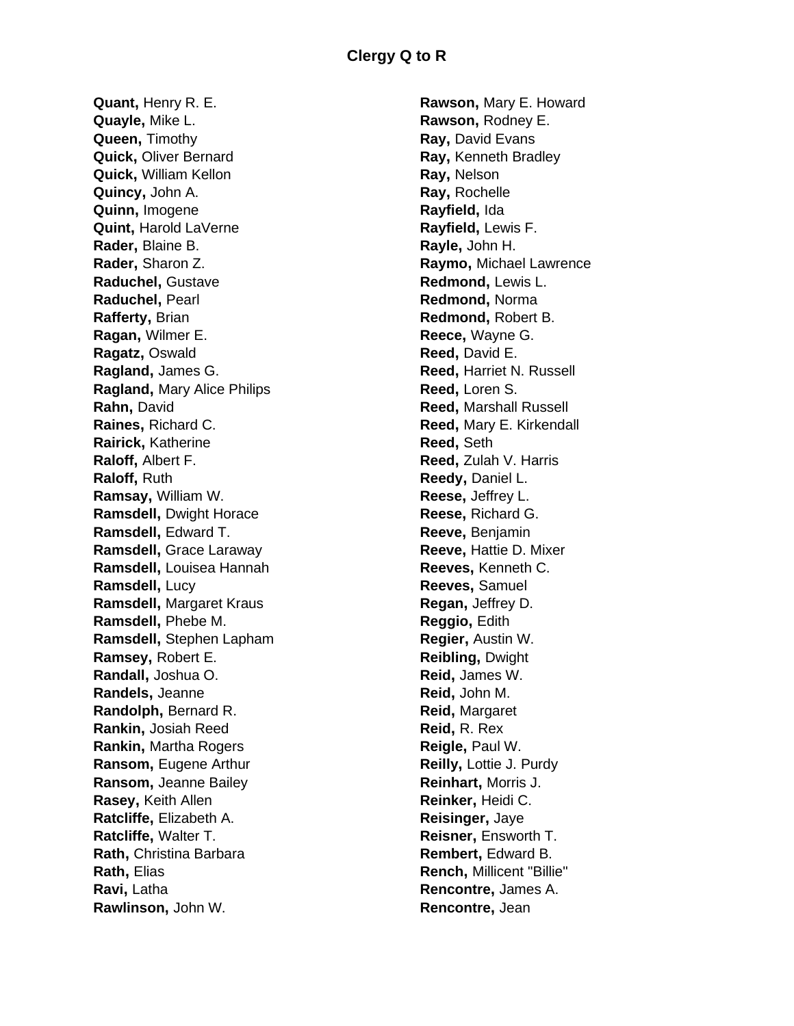**Quant,** Henry R. E. **Quayle,** Mike L. **Queen,** Timothy **Quick,** Oliver Bernard **Quick,** William Kellon **Quincy,** John A. **Quinn,** Imogene **Quint,** Harold LaVerne **Rader,** Blaine B. **Rader,** Sharon Z. **Raduchel,** Gustave **Raduchel,** Pearl **Rafferty,** Brian **Ragan,** Wilmer E. **Ragatz,** Oswald **Ragland,** James G. **Ragland,** Mary Alice Philips **Rahn,** David **Raines,** Richard C. **Rairick,** Katherine **Raloff,** Albert F. **Raloff,** Ruth **Ramsay,** William W. **Ramsdell,** Dwight Horace **Ramsdell,** Edward T. **Ramsdell,** Grace Laraway **Ramsdell,** Louisea Hannah **Ramsdell,** Lucy **Ramsdell,** Margaret Kraus **Ramsdell,** Phebe M. **Ramsdell,** Stephen Lapham **Ramsey,** Robert E. **Randall,** Joshua O. **Randels,** Jeanne **Randolph,** Bernard R. **Rankin,** Josiah Reed **Rankin,** Martha Rogers **Ransom,** Eugene Arthur **Ransom,** Jeanne Bailey **Rasey,** Keith Allen **Ratcliffe,** Elizabeth A. **Ratcliffe,** Walter T. **Rath,** Christina Barbara **Rath,** Elias **Ravi,** Latha **Rawlinson,** John W.

**Rawson,** Mary E. Howard **Rawson,** Rodney E. **Ray,** David Evans **Ray,** Kenneth Bradley **Ray,** Nelson **Ray,** Rochelle **Rayfield,** Ida **Rayfield,** Lewis F. **Rayle,** John H. **Raymo,** Michael Lawrence **Redmond,** Lewis L. **Redmond,** Norma **Redmond,** Robert B. **Reece,** Wayne G. **Reed,** David E. **Reed,** Harriet N. Russell **Reed,** Loren S. **Reed,** Marshall Russell **Reed,** Mary E. Kirkendall **Reed,** Seth **Reed,** Zulah V. Harris **Reedy,** Daniel L. **Reese,** Jeffrey L. **Reese,** Richard G. **Reeve,** Benjamin **Reeve,** Hattie D. Mixer **Reeves,** Kenneth C. **Reeves,** Samuel **Regan,** Jeffrey D. **Reggio,** Edith **Regier,** Austin W. **Reibling,** Dwight **Reid,** James W. **Reid,** John M. **Reid,** Margaret **Reid,** R. Rex **Reigle,** Paul W. **Reilly,** Lottie J. Purdy **Reinhart,** Morris J. **Reinker,** Heidi C. **Reisinger,** Jaye **Reisner,** Ensworth T. **Rembert,** Edward B. **Rench,** Millicent "Billie" **Rencontre,** James A. **Rencontre,** Jean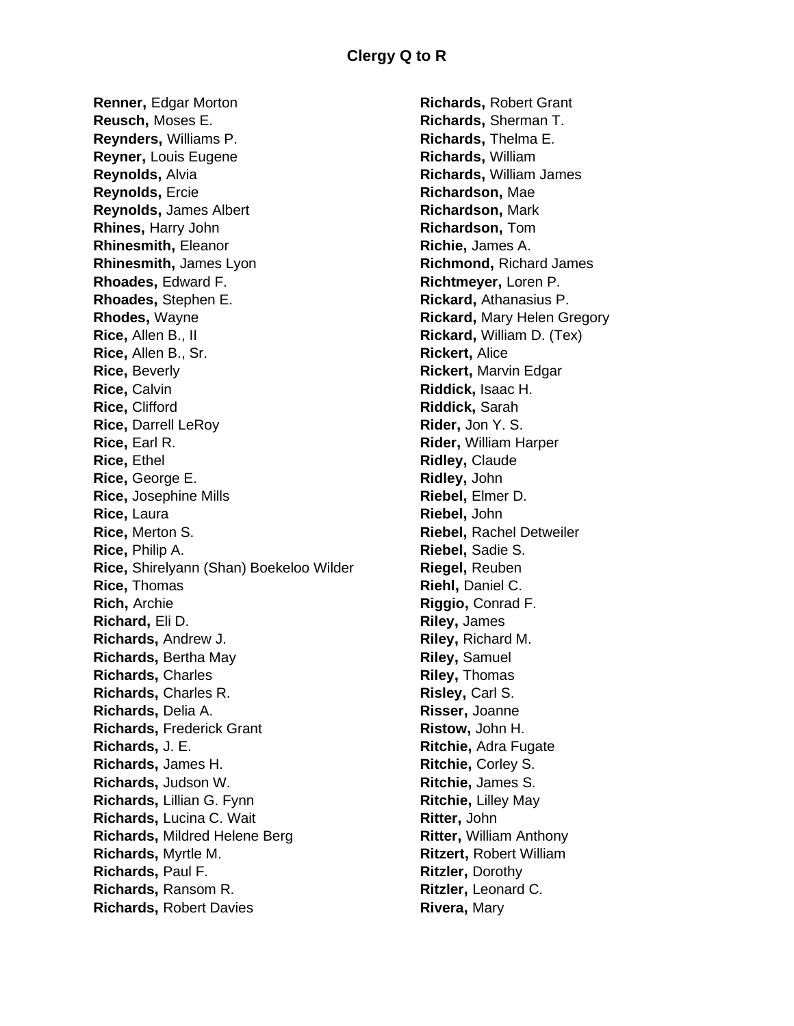**Renner,** Edgar Morton **Reusch,** Moses E. **Reynders,** Williams P. **Reyner,** Louis Eugene **Reynolds,** Alvia **Reynolds,** Ercie **Reynolds,** James Albert **Rhines,** Harry John **Rhinesmith,** Eleanor **Rhinesmith,** James Lyon **Rhoades,** Edward F. **Rhoades,** Stephen E. **Rhodes,** Wayne **Rice,** Allen B., II **Rice,** Allen B., Sr. **Rice,** Beverly **Rice,** Calvin **Rice,** Clifford **Rice,** Darrell LeRoy **Rice,** Earl R. **Rice,** Ethel **Rice,** George E. **Rice,** Josephine Mills **Rice,** Laura **Rice,** Merton S. **Rice,** Philip A. **Rice,** Shirelyann (Shan) Boekeloo Wilder **Rice,** Thomas **Rich,** Archie **Richard,** Eli D. **Richards,** Andrew J. **Richards,** Bertha May **Richards,** Charles **Richards,** Charles R. **Richards,** Delia A. **Richards,** Frederick Grant **Richards,** J. E. **Richards,** James H. **Richards,** Judson W. **Richards,** Lillian G. Fynn **Richards,** Lucina C. Wait **Richards,** Mildred Helene Berg **Richards,** Myrtle M. **Richards,** Paul F. **Richards,** Ransom R. **Richards,** Robert Davies

**Richards,** Robert Grant **Richards,** Sherman T. **Richards,** Thelma E. **Richards,** William **Richards,** William James **Richardson,** Mae **Richardson,** Mark **Richardson,** Tom **Richie,** James A. **Richmond,** Richard James **Richtmeyer,** Loren P. **Rickard,** Athanasius P. **Rickard,** Mary Helen Gregory **Rickard,** William D. (Tex) **Rickert,** Alice **Rickert,** Marvin Edgar **Riddick,** Isaac H. **Riddick,** Sarah **Rider,** Jon Y. S. **Rider,** William Harper **Ridley,** Claude **Ridley,** John **Riebel,** Elmer D. **Riebel,** John **Riebel,** Rachel Detweiler **Riebel,** Sadie S. **Riegel,** Reuben **Riehl,** Daniel C. **Riggio,** Conrad F. **Riley,** James **Riley,** Richard M. **Riley,** Samuel **Riley,** Thomas **Risley,** Carl S. **Risser,** Joanne **Ristow,** John H. **Ritchie,** Adra Fugate **Ritchie,** Corley S. **Ritchie,** James S. **Ritchie,** Lilley May **Ritter,** John **Ritter,** William Anthony **Ritzert,** Robert William **Ritzler,** Dorothy **Ritzler,** Leonard C. **Rivera,** Mary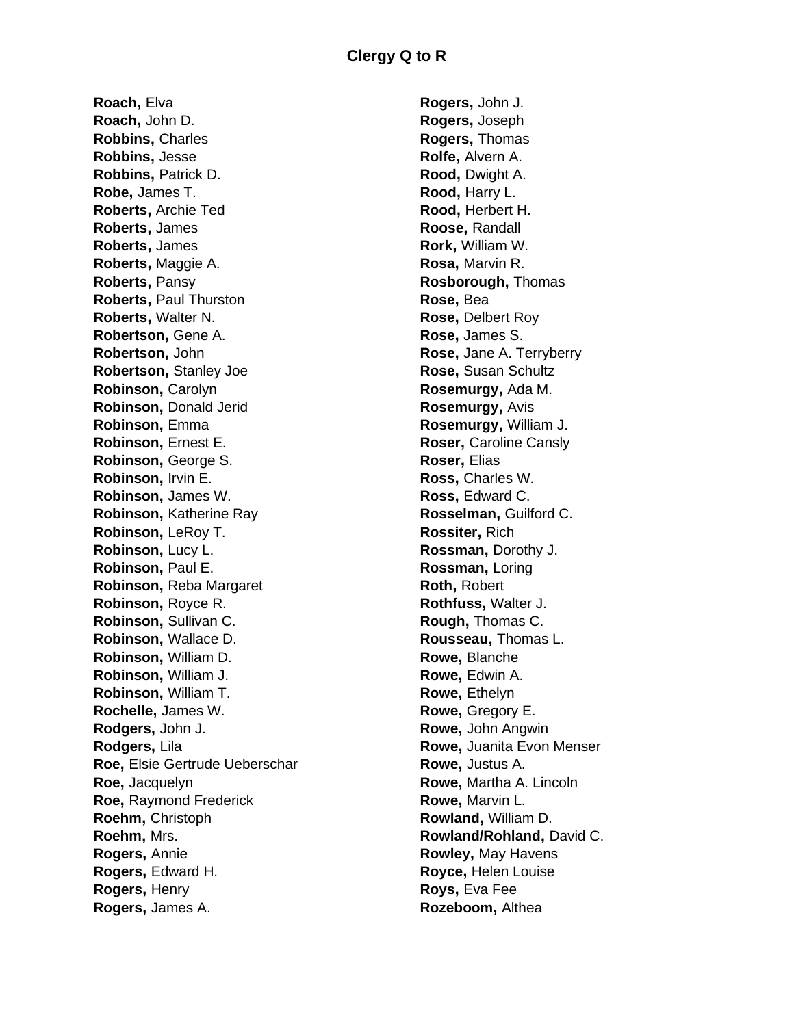**Roach,** Elva **Roach,** John D. **Robbins,** Charles **Robbins,** Jesse **Robbins,** Patrick D. **Robe,** James T. **Roberts,** Archie Ted **Roberts,** James **Roberts,** James **Roberts,** Maggie A. **Roberts,** Pansy **Roberts,** Paul Thurston **Roberts,** Walter N. **Robertson,** Gene A. **Robertson,** John **Robertson,** Stanley Joe **Robinson,** Carolyn **Robinson,** Donald Jerid **Robinson,** Emma **Robinson,** Ernest E. **Robinson,** George S. **Robinson,** Irvin E. **Robinson,** James W. **Robinson,** Katherine Ray **Robinson,** LeRoy T. **Robinson,** Lucy L. **Robinson,** Paul E. **Robinson,** Reba Margaret **Robinson,** Royce R. **Robinson,** Sullivan C. **Robinson,** Wallace D. **Robinson,** William D. **Robinson,** William J. **Robinson,** William T. **Rochelle,** James W. **Rodgers,** John J. **Rodgers,** Lila **Roe,** Elsie Gertrude Ueberschar **Roe,** Jacquelyn **Roe,** Raymond Frederick **Roehm,** Christoph **Roehm,** Mrs. **Rogers,** Annie **Rogers,** Edward H. **Rogers,** Henry **Rogers,** James A.

**Rogers,** John J. **Rogers,** Joseph **Rogers,** Thomas **Rolfe,** Alvern A. **Rood,** Dwight A. **Rood,** Harry L. **Rood,** Herbert H. **Roose,** Randall **Rork,** William W. **Rosa,** Marvin R. **Rosborough,** Thomas **Rose,** Bea **Rose,** Delbert Roy **Rose,** James S. **Rose,** Jane A. Terryberry **Rose,** Susan Schultz **Rosemurgy,** Ada M. **Rosemurgy,** Avis **Rosemurgy,** William J. **Roser,** Caroline Cansly **Roser,** Elias **Ross,** Charles W. **Ross,** Edward C. **Rosselman,** Guilford C. **Rossiter,** Rich **Rossman,** Dorothy J. **Rossman,** Loring **Roth,** Robert **Rothfuss,** Walter J. **Rough,** Thomas C. **Rousseau,** Thomas L. **Rowe,** Blanche **Rowe,** Edwin A. **Rowe,** Ethelyn **Rowe,** Gregory E. **Rowe,** John Angwin **Rowe,** Juanita Evon Menser **Rowe,** Justus A. **Rowe,** Martha A. Lincoln **Rowe,** Marvin L. **Rowland,** William D. **Rowland/Rohland,** David C. **Rowley,** May Havens **Royce,** Helen Louise **Roys,** Eva Fee **Rozeboom,** Althea